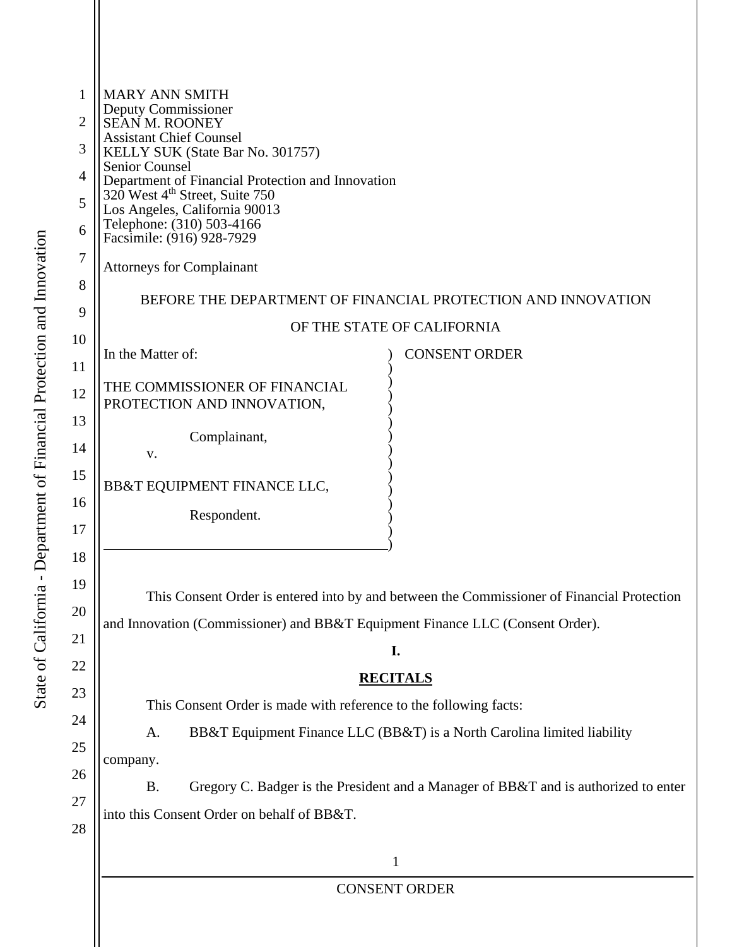| <b>MARY ANN SMITH</b>                                                                      |                                                                                            |  |
|--------------------------------------------------------------------------------------------|--------------------------------------------------------------------------------------------|--|
| Deputy Commissioner<br>SEAN M. ROONEY                                                      |                                                                                            |  |
| <b>Assistant Chief Counsel</b><br>KELLY SUK (State Bar No. 301757)                         |                                                                                            |  |
| Senior Counsel<br>Department of Financial Protection and Innovation                        |                                                                                            |  |
| 320 West 4 <sup>th</sup> Street, Suite 750<br>Los Angeles, California 90013                |                                                                                            |  |
| Telephone: (310) 503-4166<br>Facsimile: (916) 928-7929                                     |                                                                                            |  |
| <b>Attorneys for Complainant</b>                                                           |                                                                                            |  |
|                                                                                            |                                                                                            |  |
| BEFORE THE DEPARTMENT OF FINANCIAL PROTECTION AND INNOVATION<br>OF THE STATE OF CALIFORNIA |                                                                                            |  |
|                                                                                            |                                                                                            |  |
| In the Matter of:                                                                          | <b>CONSENT ORDER</b>                                                                       |  |
| THE COMMISSIONER OF FINANCIAL<br>PROTECTION AND INNOVATION,                                |                                                                                            |  |
| Complainant,                                                                               |                                                                                            |  |
| V.                                                                                         |                                                                                            |  |
| BB&T EQUIPMENT FINANCE LLC,                                                                |                                                                                            |  |
| Respondent.                                                                                |                                                                                            |  |
|                                                                                            |                                                                                            |  |
|                                                                                            | This Consent Order is entered into by and between the Commissioner of Financial Protection |  |
| and Innovation (Commissioner) and BB&T Equipment Finance LLC (Consent Order).              |                                                                                            |  |
|                                                                                            | I.                                                                                         |  |
|                                                                                            | <b>RECITALS</b>                                                                            |  |
| This Consent Order is made with reference to the following facts:                          |                                                                                            |  |
| A.                                                                                         | BB&T Equipment Finance LLC (BB&T) is a North Carolina limited liability                    |  |
| company.                                                                                   |                                                                                            |  |
| <b>B.</b>                                                                                  | Gregory C. Badger is the President and a Manager of BB&T and is authorized to enter        |  |
| into this Consent Order on behalf of BB&T.                                                 |                                                                                            |  |
|                                                                                            |                                                                                            |  |
|                                                                                            | $\mathbf{1}$                                                                               |  |
|                                                                                            | <b>CONSENT ORDER</b>                                                                       |  |
|                                                                                            |                                                                                            |  |
|                                                                                            |                                                                                            |  |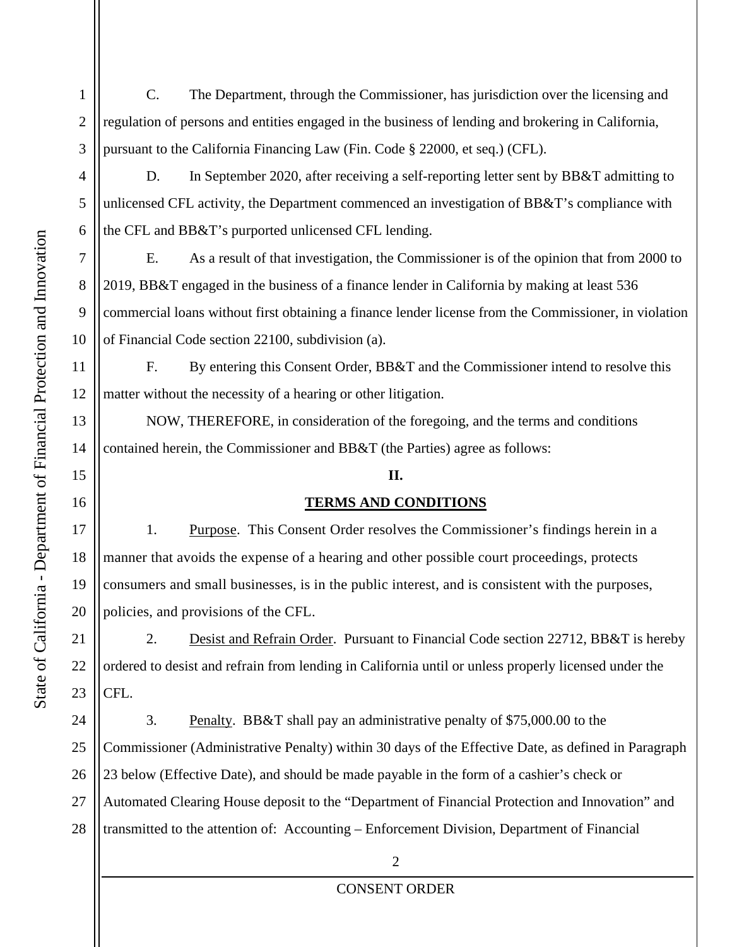3 C. The Department, through the Commissioner, has jurisdiction over the licensing and regulation of persons and entities engaged in the business of lending and brokering in California, pursuant to the California Financing Law (Fin. Code § 22000, et seq.) (CFL).

D. In September 2020, after receiving a self-reporting letter sent by BB&T admitting to unlicensed CFL activity, the Department commenced an investigation of BB&T's compliance with the CFL and BB&T's purported unlicensed CFL lending.

E. As a result of that investigation, the Commissioner is of the opinion that from 2000 to 2019, BB&T engaged in the business of a finance lender in California by making at least 536 commercial loans without first obtaining a finance lender license from the Commissioner, in violation of Financial Code section 22100, subdivision (a).

12 F. By entering this Consent Order, BB&T and the Commissioner intend to resolve this matter without the necessity of a hearing or other litigation.

 NOW, THEREFORE, in consideration of the foregoing, and the terms and conditions contained herein, the Commissioner and BB&T (the Parties) agree as follows:

## **II.**

## **TERMS AND CONDITIONS**

1. Purpose. This Consent Order resolves the Commissioner's findings herein in a manner that avoids the expense of a hearing and other possible court proceedings, protects consumers and small businesses, is in the public interest, and is consistent with the purposes, policies, and provisions of the CFL.

2. Desist and Refrain Order. Pursuant to Financial Code section 22712, BB&T is hereby ordered to desist and refrain from lending in California until or unless properly licensed under the CFL.

24 25 26 27 28 3. Penalty. BB&T shall pay an administrative penalty of \$75,000.00 to the Commissioner (Administrative Penalty) within 30 days of the Effective Date, as defined in Paragraph 23 below (Effective Date), and should be made payable in the form of a cashier's check or Automated Clearing House deposit to the "Department of Financial Protection and Innovation" and transmitted to the attention of: Accounting – Enforcement Division, Department of Financial

1

2

4

5

6

7

8

9

10

11

13

14

15

16

17

18

19

20

21

22

23

## CONSENT ORDER

 $\mathfrak{D}$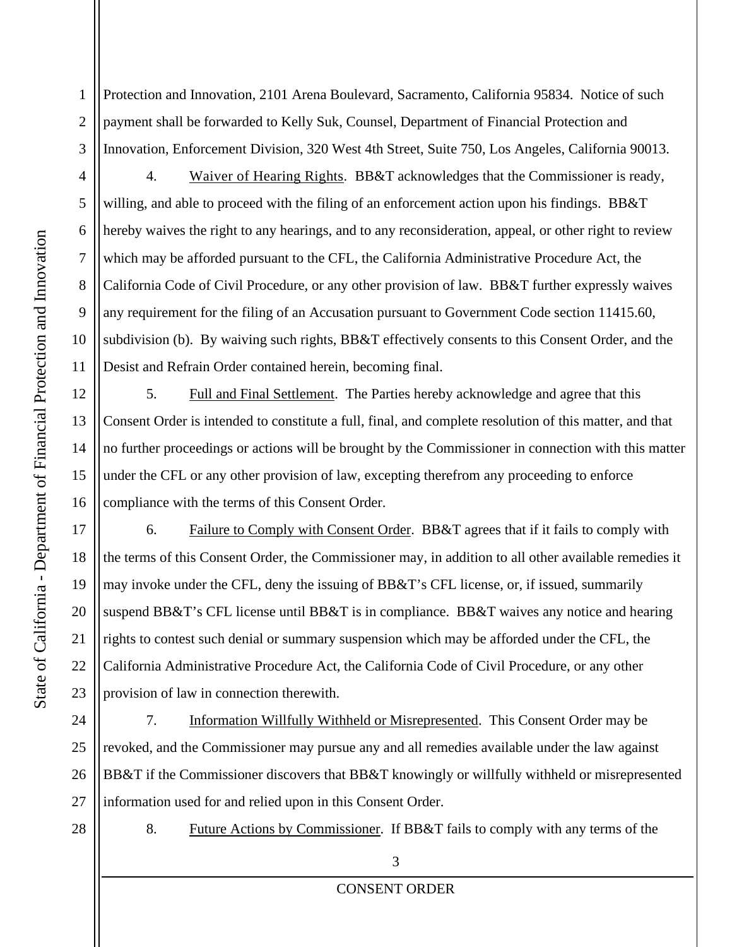1 2 3 Protection and Innovation, 2101 Arena Boulevard, Sacramento, California 95834. Notice of such payment shall be forwarded to Kelly Suk, Counsel, Department of Financial Protection and Innovation, Enforcement Division, 320 West 4th Street, Suite 750, Los Angeles, California 90013.

4 5 6 7 8 10 4. Waiver of Hearing Rights. BB&T acknowledges that the Commissioner is ready, willing, and able to proceed with the filing of an enforcement action upon his findings. BB&T hereby waives the right to any hearings, and to any reconsideration, appeal, or other right to review which may be afforded pursuant to the CFL, the California Administrative Procedure Act, the California Code of Civil Procedure, or any other provision of law. BB&T further expressly waives any requirement for the filing of an Accusation pursuant to Government Code section 11415.60, subdivision (b). By waiving such rights, BB&T effectively consents to this Consent Order, and the Desist and Refrain Order contained herein, becoming final.

5. Full and Final Settlement. The Parties hereby acknowledge and agree that this Consent Order is intended to constitute a full, final, and complete resolution of this matter, and that no further proceedings or actions will be brought by the Commissioner in connection with this matter under the CFL or any other provision of law, excepting therefrom any proceeding to enforce compliance with the terms of this Consent Order.

6. Failure to Comply with Consent Order. BB&T agrees that if it fails to comply with the terms of this Consent Order, the Commissioner may, in addition to all other available remedies it may invoke under the CFL, deny the issuing of BB&T's CFL license, or, if issued, summarily suspend BB&T's CFL license until BB&T is in compliance. BB&T waives any notice and hearing rights to contest such denial or summary suspension which may be afforded under the CFL, the California Administrative Procedure Act, the California Code of Civil Procedure, or any other provision of law in connection therewith.

24 25 26 27 7. Information Willfully Withheld or Misrepresented. This Consent Order may be revoked, and the Commissioner may pursue any and all remedies available under the law against BB&T if the Commissioner discovers that BB&T knowingly or willfully withheld or misrepresented information used for and relied upon in this Consent Order.

28

8. Future Actions by Commissioner. If BB&T fails to comply with any terms of the

3

CONSENT ORDER

9

11

12

13

14

15

16

17

18

19

20

21

22

23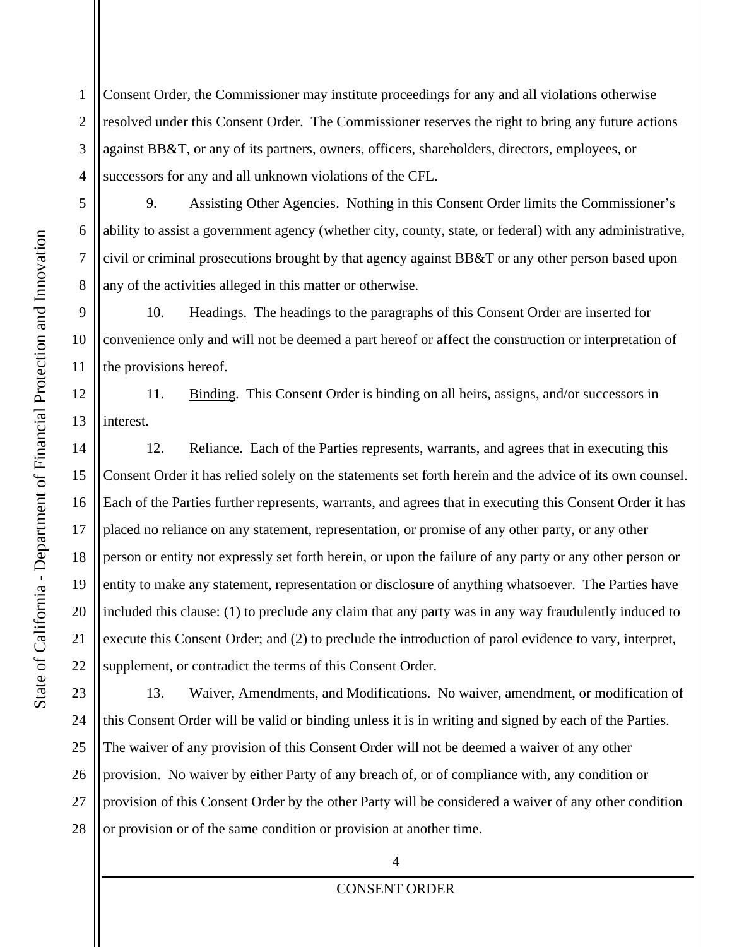1 2 3 4 Consent Order, the Commissioner may institute proceedings for any and all violations otherwise resolved under this Consent Order. The Commissioner reserves the right to bring any future actions against BB&T, or any of its partners, owners, officers, shareholders, directors, employees, or successors for any and all unknown violations of the CFL.

5

6

7

8

9

10

11

12

13

14

15

16

17

18

19

20

21

22

9. Assisting Other Agencies. Nothing in this Consent Order limits the Commissioner's ability to assist a government agency (whether city, county, state, or federal) with any administrative, civil or criminal prosecutions brought by that agency against BB&T or any other person based upon any of the activities alleged in this matter or otherwise.

10. Headings. The headings to the paragraphs of this Consent Order are inserted for convenience only and will not be deemed a part hereof or affect the construction or interpretation of the provisions hereof.

11. Binding. This Consent Order is binding on all heirs, assigns, and/or successors in interest.

12. Reliance. Each of the Parties represents, warrants, and agrees that in executing this Consent Order it has relied solely on the statements set forth herein and the advice of its own counsel. Each of the Parties further represents, warrants, and agrees that in executing this Consent Order it has placed no reliance on any statement, representation, or promise of any other party, or any other person or entity not expressly set forth herein, or upon the failure of any party or any other person or entity to make any statement, representation or disclosure of anything whatsoever. The Parties have included this clause: (1) to preclude any claim that any party was in any way fraudulently induced to execute this Consent Order; and (2) to preclude the introduction of parol evidence to vary, interpret, supplement, or contradict the terms of this Consent Order.

23 24 25 26 27 28 13. Waiver, Amendments, and Modifications. No waiver, amendment, or modification of this Consent Order will be valid or binding unless it is in writing and signed by each of the Parties. The waiver of any provision of this Consent Order will not be deemed a waiver of any other provision. No waiver by either Party of any breach of, or of compliance with, any condition or provision of this Consent Order by the other Party will be considered a waiver of any other condition or provision or of the same condition or provision at another time.

## CONSENT ORDER

4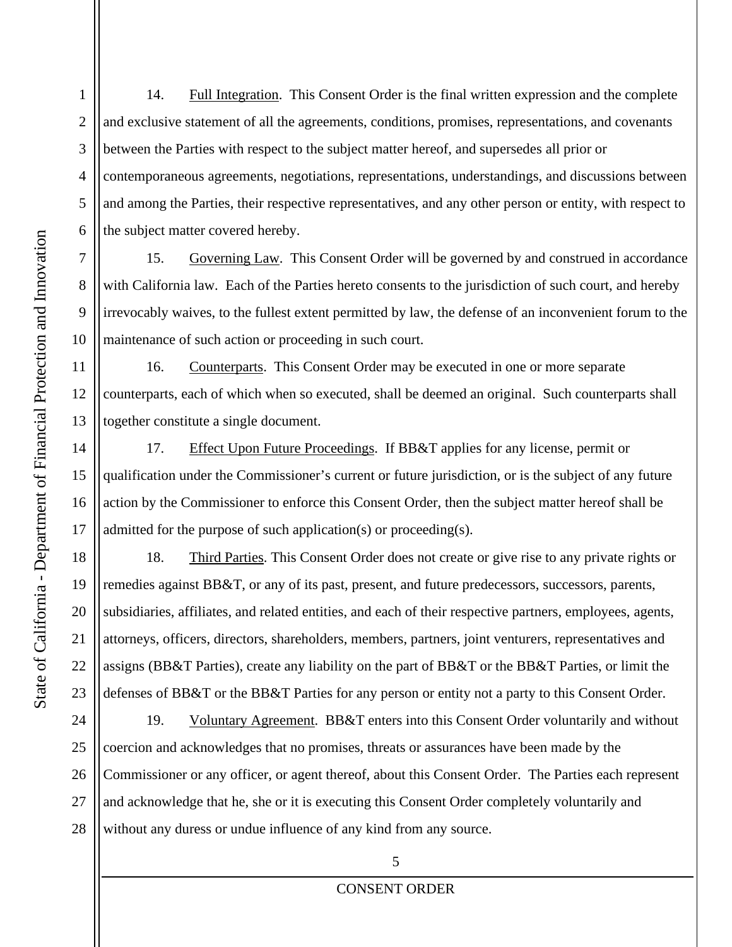1 2 3 4 5 6 14. Full Integration. This Consent Order is the final written expression and the complete and exclusive statement of all the agreements, conditions, promises, representations, and covenants between the Parties with respect to the subject matter hereof, and supersedes all prior or contemporaneous agreements, negotiations, representations, understandings, and discussions between and among the Parties, their respective representatives, and any other person or entity, with respect to the subject matter covered hereby.

15. Governing Law. This Consent Order will be governed by and construed in accordance with California law. Each of the Parties hereto consents to the jurisdiction of such court, and hereby irrevocably waives, to the fullest extent permitted by law, the defense of an inconvenient forum to the maintenance of such action or proceeding in such court.

16. Counterparts. This Consent Order may be executed in one or more separate counterparts, each of which when so executed, shall be deemed an original. Such counterparts shall together constitute a single document.

17. Effect Upon Future Proceedings. If BB&T applies for any license, permit or qualification under the Commissioner's current or future jurisdiction, or is the subject of any future action by the Commissioner to enforce this Consent Order, then the subject matter hereof shall be admitted for the purpose of such application(s) or proceeding(s).

18. Third Parties. This Consent Order does not create or give rise to any private rights or remedies against BB&T, or any of its past, present, and future predecessors, successors, parents, subsidiaries, affiliates, and related entities, and each of their respective partners, employees, agents, attorneys, officers, directors, shareholders, members, partners, joint venturers, representatives and assigns (BB&T Parties), create any liability on the part of BB&T or the BB&T Parties, or limit the defenses of BB&T or the BB&T Parties for any person or entity not a party to this Consent Order.

24 25 26 27 28 19. Voluntary Agreement. BB&T enters into this Consent Order voluntarily and without coercion and acknowledges that no promises, threats or assurances have been made by the Commissioner or any officer, or agent thereof, about this Consent Order. The Parties each represent and acknowledge that he, she or it is executing this Consent Order completely voluntarily and without any duress or undue influence of any kind from any source.

7

8

9

10

11

12

13

14

15

16

17

18

19

20

21

22

23

5 CONSENT ORDER